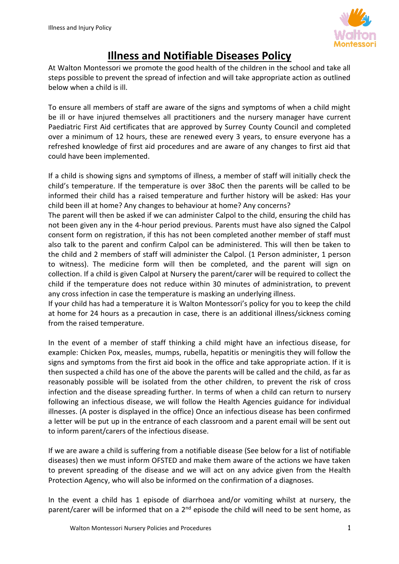

# **Illness and Notifiable Diseases Policy**

At Walton Montessori we promote the good health of the children in the school and take all steps possible to prevent the spread of infection and will take appropriate action as outlined below when a child is ill.

To ensure all members of staff are aware of the signs and symptoms of when a child might be ill or have injured themselves all practitioners and the nursery manager have current Paediatric First Aid certificates that are approved by Surrey County Council and completed over a minimum of 12 hours, these are renewed every 3 years, to ensure everyone has a refreshed knowledge of first aid procedures and are aware of any changes to first aid that could have been implemented.

If a child is showing signs and symptoms of illness, a member of staff will initially check the child's temperature. If the temperature is over 38oC then the parents will be called to be informed their child has a raised temperature and further history will be asked: Has your child been ill at home? Any changes to behaviour at home? Any concerns?

The parent will then be asked if we can administer Calpol to the child, ensuring the child has not been given any in the 4-hour period previous. Parents must have also signed the Calpol consent form on registration, if this has not been completed another member of staff must also talk to the parent and confirm Calpol can be administered. This will then be taken to the child and 2 members of staff will administer the Calpol. (1 Person administer, 1 person to witness). The medicine form will then be completed, and the parent will sign on collection. If a child is given Calpol at Nursery the parent/carer will be required to collect the child if the temperature does not reduce within 30 minutes of administration, to prevent any cross infection in case the temperature is masking an underlying illness.

If your child has had a temperature it is Walton Montessori's policy for you to keep the child at home for 24 hours as a precaution in case, there is an additional illness/sickness coming from the raised temperature.

In the event of a member of staff thinking a child might have an infectious disease, for example: Chicken Pox, measles, mumps, rubella, hepatitis or meningitis they will follow the signs and symptoms from the first aid book in the office and take appropriate action. If it is then suspected a child has one of the above the parents will be called and the child, as far as reasonably possible will be isolated from the other children, to prevent the risk of cross infection and the disease spreading further. In terms of when a child can return to nursery following an infectious disease, we will follow the Health Agencies guidance for individual illnesses. (A poster is displayed in the office) Once an infectious disease has been confirmed a letter will be put up in the entrance of each classroom and a parent email will be sent out to inform parent/carers of the infectious disease.

If we are aware a child is suffering from a notifiable disease (See below for a list of notifiable diseases) then we must inform OFSTED and make them aware of the actions we have taken to prevent spreading of the disease and we will act on any advice given from the Health Protection Agency, who will also be informed on the confirmation of a diagnoses.

In the event a child has 1 episode of diarrhoea and/or vomiting whilst at nursery, the parent/carer will be informed that on a 2<sup>nd</sup> episode the child will need to be sent home, as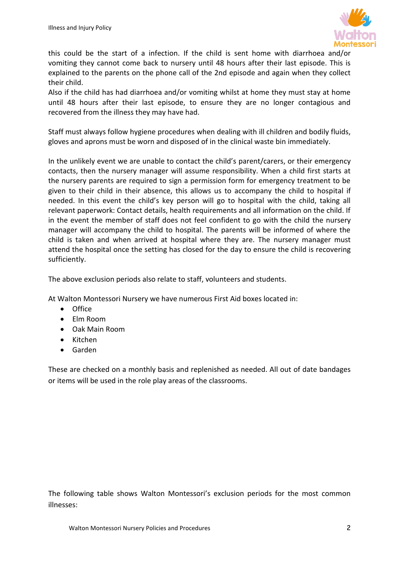

this could be the start of a infection. If the child is sent home with diarrhoea and/or vomiting they cannot come back to nursery until 48 hours after their last episode. This is explained to the parents on the phone call of the 2nd episode and again when they collect their child.

Also if the child has had diarrhoea and/or vomiting whilst at home they must stay at home until 48 hours after their last episode, to ensure they are no longer contagious and recovered from the illness they may have had.

Staff must always follow hygiene procedures when dealing with ill children and bodily fluids, gloves and aprons must be worn and disposed of in the clinical waste bin immediately.

In the unlikely event we are unable to contact the child's parent/carers, or their emergency contacts, then the nursery manager will assume responsibility. When a child first starts at the nursery parents are required to sign a permission form for emergency treatment to be given to their child in their absence, this allows us to accompany the child to hospital if needed. In this event the child's key person will go to hospital with the child, taking all relevant paperwork: Contact details, health requirements and all information on the child. If in the event the member of staff does not feel confident to go with the child the nursery manager will accompany the child to hospital. The parents will be informed of where the child is taken and when arrived at hospital where they are. The nursery manager must attend the hospital once the setting has closed for the day to ensure the child is recovering sufficiently.

The above exclusion periods also relate to staff, volunteers and students.

At Walton Montessori Nursery we have numerous First Aid boxes located in:

- Office
- Elm Room
- Oak Main Room
- Kitchen
- Garden

These are checked on a monthly basis and replenished as needed. All out of date bandages or items will be used in the role play areas of the classrooms.

The following table shows Walton Montessori's exclusion periods for the most common illnesses: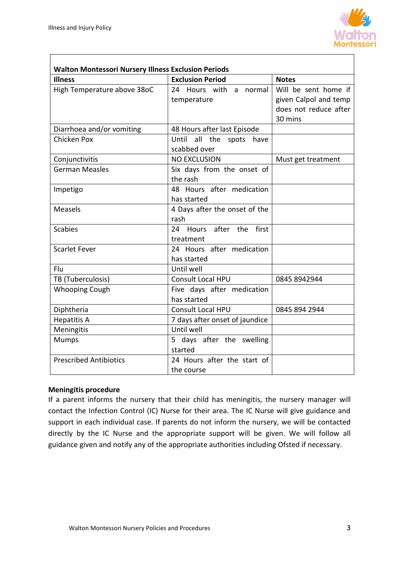

| <b>Walton Montessori Nursery Illness Exclusion Periods</b> |                                                   |                                                                                   |  |
|------------------------------------------------------------|---------------------------------------------------|-----------------------------------------------------------------------------------|--|
| <b>Illness</b>                                             | <b>Exclusion Period</b>                           | <b>Notes</b>                                                                      |  |
| High Temperature above 38oC                                | 24 Hours with a normal<br>temperature             | Will be sent home if<br>given Calpol and temp<br>does not reduce after<br>30 mins |  |
| Diarrhoea and/or vomiting                                  | 48 Hours after last Episode                       |                                                                                   |  |
| Chicken Pox                                                | Until<br>all the<br>spots<br>have<br>scabbed over |                                                                                   |  |
| Conjunctivitis                                             | <b>NO EXCLUSION</b>                               | Must get treatment                                                                |  |
| <b>German Measles</b>                                      | Six days from the onset of<br>the rash            |                                                                                   |  |
| Impetigo                                                   | 48 Hours after medication<br>has started          |                                                                                   |  |
| <b>Measels</b>                                             | 4 Days after the onset of the<br>rash             |                                                                                   |  |
| <b>Scabies</b>                                             | 24 Hours after the first<br>treatment             |                                                                                   |  |
| <b>Scarlet Fever</b>                                       | 24 Hours after medication<br>has started          |                                                                                   |  |
| Flu                                                        | Until well                                        |                                                                                   |  |
| TB (Tuberculosis)                                          | <b>Consult Local HPU</b>                          | 0845 8942944                                                                      |  |
| <b>Whooping Cough</b>                                      | Five days after medication<br>has started         |                                                                                   |  |
| Diphtheria                                                 | <b>Consult Local HPU</b>                          | 0845 894 2944                                                                     |  |
| Hepatitis A                                                | 7 days after onset of jaundice                    |                                                                                   |  |
| Meningitis                                                 | Until well                                        |                                                                                   |  |
| <b>Mumps</b>                                               | 5 days after the swelling<br>started              |                                                                                   |  |
| <b>Prescribed Antibiotics</b>                              | 24 Hours after the start of<br>the course         |                                                                                   |  |

#### **Meningitis procedure**

If a parent informs the nursery that their child has meningitis, the nursery manager will contact the Infection Control (IC) Nurse for their area. The IC Nurse will give guidance and support in each individual case. If parents do not inform the nursery, we will be contacted directly by the IC Nurse and the appropriate support will be given. We will follow all guidance given and notify any of the appropriate authorities including Ofsted if necessary.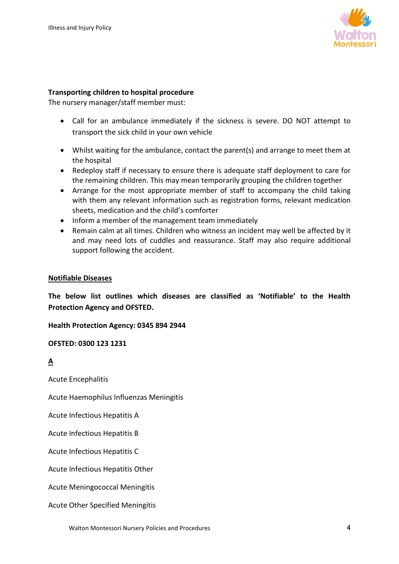

#### **Transporting children to hospital procedure**

The nursery manager/staff member must:

- Call for an ambulance immediately if the sickness is severe. DO NOT attempt to transport the sick child in your own vehicle
- Whilst waiting for the ambulance, contact the parent(s) and arrange to meet them at the hospital
- Redeploy staff if necessary to ensure there is adequate staff deployment to care for the remaining children. This may mean temporarily grouping the children together
- Arrange for the most appropriate member of staff to accompany the child taking with them any relevant information such as registration forms, relevant medication sheets, medication and the child's comforter
- Inform a member of the management team immediately
- Remain calm at all times. Children who witness an incident may well be affected by it and may need lots of cuddles and reassurance. Staff may also require additional support following the accident.

#### **Notifiable Diseases**

**The below list outlines which diseases are classified as 'Notifiable' to the Health Protection Agency and OFSTED.**

**Health Protection Agency: 0345 894 2944** 

**OFSTED: 0300 123 1231**

#### **A**

Acute Encephalitis

Acute Haemophilus Influenzas Meningitis

Acute Infectious Hepatitis A

Acute Infectious Hepatitis B

Acute Infectious Hepatitis C

Acute Infectious Hepatitis Other

Acute Meningococcal Meningitis

Acute Other Specified Meningitis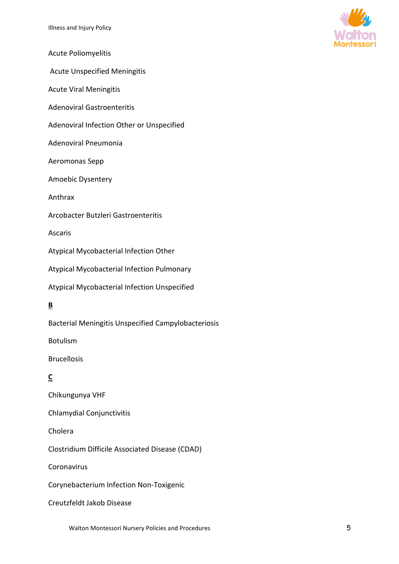

- Acute Poliomyelitis
- Acute Unspecified Meningitis
- Acute Viral Meningitis
- Adenoviral Gastroenteritis
- Adenoviral Infection Other or Unspecified
- Adenoviral Pneumonia
- Aeromonas Sepp
- Amoebic Dysentery
- Anthrax
- Arcobacter Butzleri Gastroenteritis

Ascaris

Atypical Mycobacterial Infection Other

Atypical Mycobacterial Infection Pulmonary

Atypical Mycobacterial Infection Unspecified

#### **B**

Bacterial Meningitis Unspecified Campylobacteriosis

Botulism

Brucellosis

# **C**

Chikungunya VHF

Chlamydial Conjunctivitis

Cholera

Clostridium Difficile Associated Disease (CDAD)

Coronavirus

Corynebacterium Infection Non-Toxigenic

Creutzfeldt Jakob Disease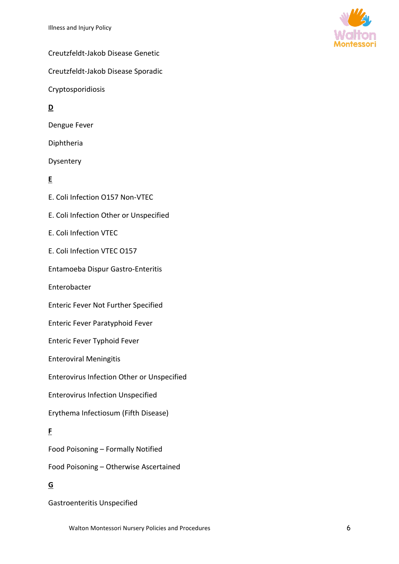

Creutzfeldt-Jakob Disease Genetic

Creutzfeldt-Jakob Disease Sporadic

Cryptosporidiosis

## **D**

Dengue Fever

Diphtheria

Dysentery

### **E**

E. Coli Infection O157 Non-VTEC

E. Coli Infection Other or Unspecified

E. Coli Infection VTEC

E. Coli Infection VTEC O157

Entamoeba Dispur Gastro-Enteritis

Enterobacter

Enteric Fever Not Further Specified

Enteric Fever Paratyphoid Fever

Enteric Fever Typhoid Fever

Enteroviral Meningitis

Enterovirus Infection Other or Unspecified

Enterovirus Infection Unspecified

Erythema Infectiosum (Fifth Disease)

#### **F**

Food Poisoning – Formally Notified

Food Poisoning – Otherwise Ascertained

# **G**

Gastroenteritis Unspecified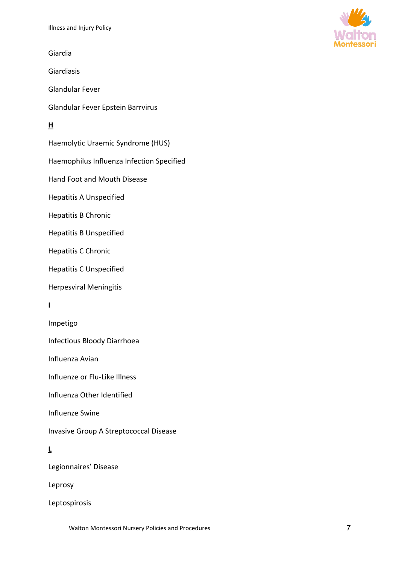Giardia

Giardiasis

Glandular Fever

Glandular Fever Epstein Barrvirus

#### **H**

Haemolytic Uraemic Syndrome (HUS)

Haemophilus Influenza Infection Specified

Hand Foot and Mouth Disease

Hepatitis A Unspecified

Hepatitis B Chronic

Hepatitis B Unspecified

Hepatitis C Chronic

Hepatitis C Unspecified

Herpesviral Meningitis

#### **I**

Impetigo

Infectious Bloody Diarrhoea

Influenza Avian

Influenze or Flu-Like Illness

Influenza Other Identified

Influenze Swine

Invasive Group A Streptococcal Disease

#### **L**

Legionnaires' Disease

Leprosy

Leptospirosis

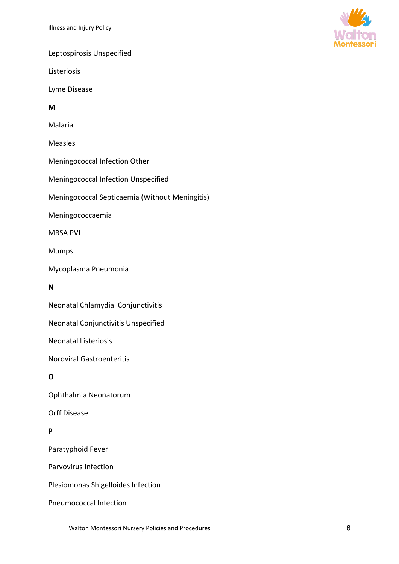

Leptospirosis Unspecified

Listeriosis

Lyme Disease

### **M**

Malaria

Measles

Meningococcal Infection Other

Meningococcal Infection Unspecified

Meningococcal Septicaemia (Without Meningitis)

Meningococcaemia

MRSA PVL

Mumps

Mycoplasma Pneumonia

# **N**

Neonatal Chlamydial Conjunctivitis

Neonatal Conjunctivitis Unspecified

Neonatal Listeriosis

Noroviral Gastroenteritis

# **O**

Ophthalmia Neonatorum

Orff Disease

# **P**

Paratyphoid Fever

Parvovirus Infection

Plesiomonas Shigelloides Infection

Pneumococcal Infection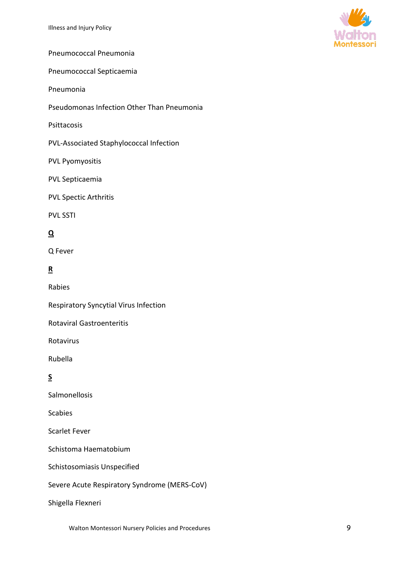

Pneumococcal Pneumonia

Pneumococcal Septicaemia

Pneumonia

Pseudomonas Infection Other Than Pneumonia

Psittacosis

PVL-Associated Staphylococcal Infection

PVL Pyomyositis

PVL Septicaemia

PVL Spectic Arthritis

PVL SSTI

#### **Q**

Q Fever

#### **R**

Rabies

Respiratory Syncytial Virus Infection

Rotaviral Gastroenteritis

Rotavirus

Rubella

#### **S**

Salmonellosis

Scabies

Scarlet Fever

Schistoma Haematobium

Schistosomiasis Unspecified

Severe Acute Respiratory Syndrome (MERS-CoV)

Shigella Flexneri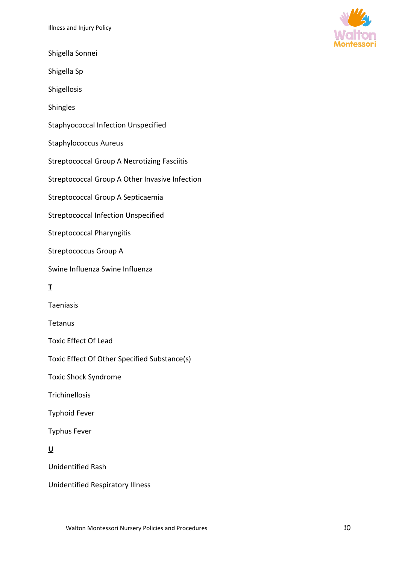Shigella Sonnei

Shigella Sp

Shigellosis

Shingles

Staphyococcal Infection Unspecified

Staphylococcus Aureus

Streptococcal Group A Necrotizing Fasciitis

Streptococcal Group A Other Invasive Infection

Streptococcal Group A Septicaemia

Streptococcal Infection Unspecified

Streptococcal Pharyngitis

Streptococcus Group A

Swine Influenza Swine Influenza

#### **T**

Taeniasis

**Tetanus** 

Toxic Effect Of Lead

Toxic Effect Of Other Specified Substance(s)

Toxic Shock Syndrome

**Trichinellosis** 

Typhoid Fever

Typhus Fever

#### **U**

Unidentified Rash

Unidentified Respiratory Illness